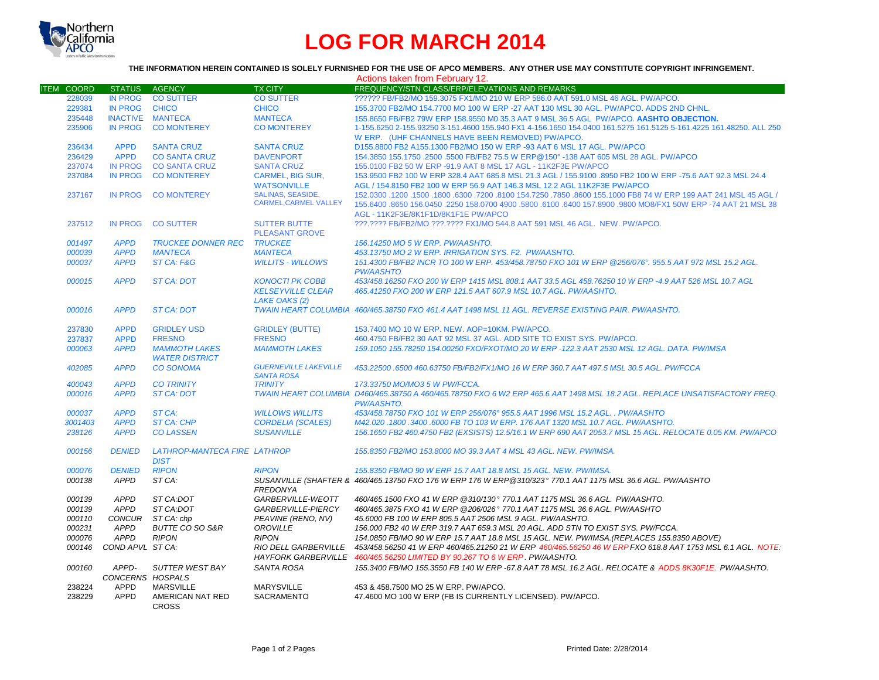

## **LOG FOR MARCH 2014**

## **THE INFORMATION HEREIN CONTAINED IS SOLELY FURNISHED FOR THE USE OF APCO MEMBERS. ANY OTHER USE MAY CONSTITUTE COPYRIGHT INFRINGEMENT.**

|                   |                         |                              |                              | Actions taken from February 12.                                                                                                                       |
|-------------------|-------------------------|------------------------------|------------------------------|-------------------------------------------------------------------------------------------------------------------------------------------------------|
| <b>ITEM COORD</b> | <b>STATUS</b>           | AGENCY                       | <b>TX CITY</b>               | FREQUENCY/STN CLASS/ERP/ELEVATIONS AND REMARKS                                                                                                        |
| 228039            | <b>IN PROG</b>          | <b>CO SUTTER</b>             | <b>CO SUTTER</b>             | ?????? FB/FB2/MO 159.3075 FX1/MO 210 W ERP 586.0 AAT 591.0 MSL 46 AGL. PW/APCO.                                                                       |
| 229381            | <b>IN PROG</b>          | <b>CHICO</b>                 | <b>CHICO</b>                 | 155.3700 FB2/MO 154.7700 MO 100 W ERP -27 AAT 130 MSL 30 AGL. PW/APCO. ADDS 2ND CHNL.                                                                 |
| 235448            | <b>INACTIVE MANTECA</b> |                              | <b>MANTECA</b>               | 155.8650 FB/FB2 79W ERP 158.9550 M0 35.3 AAT 9 MSL 36.5 AGL PW/APCO. AASHTO OBJECTION.                                                                |
| 235906            | <b>IN PROG</b>          | <b>CO MONTEREY</b>           | <b>CO MONTEREY</b>           | 1-155.6250 2-155.93250 3-151.4600 155.940 FX1 4-156.1650 154.0400 161.5275 161.5125 5-161.4225 161.48250. ALL 250                                     |
|                   |                         |                              |                              | W ERP. (UHF CHANNELS HAVE BEEN REMOVED) PW/APCO.                                                                                                      |
| 236434            | <b>APPD</b>             | <b>SANTA CRUZ</b>            | <b>SANTA CRUZ</b>            | D155.8800 FB2 A155.1300 FB2/MO 150 W ERP -93 AAT 6 MSL 17 AGL. PW/APCO                                                                                |
| 236429            | <b>APPD</b>             | <b>CO SANTA CRUZ</b>         | <b>DAVENPORT</b>             | 154.3850 155.1750 .2500 .5500 FB/FB2 75.5 W ERP@150° -138 AAT 605 MSL 28 AGL. PW/APCO                                                                 |
| 237074            | <b>IN PROG</b>          | <b>CO SANTA CRUZ</b>         | <b>SANTA CRUZ</b>            | 155,0100 FB2 50 W ERP -91.9 AAT 8 MSL 17 AGL - 11K2F3E PW/APCO                                                                                        |
| 237084            | <b>IN PROG</b>          | <b>CO MONTEREY</b>           | <b>CARMEL, BIG SUR,</b>      | 153.9500 FB2 100 W ERP 328.4 AAT 685.8 MSL 21.3 AGL / 155.9100 .8950 FB2 100 W ERP -75.6 AAT 92.3 MSL 24.4                                            |
|                   |                         |                              | <b>WATSONVILLE</b>           | AGL / 154.8150 FB2 100 W ERP 56.9 AAT 146.3 MSL 12.2 AGL 11K2F3E PW/APCO                                                                              |
|                   |                         |                              | <b>SALINAS, SEASIDE,</b>     |                                                                                                                                                       |
| 237167            | <b>IN PROG</b>          | <b>CO MONTEREY</b>           | <b>CARMEL.CARMEL VALLEY</b>  | 152.0300 .1200 .1500 .6300 .8100 154.7250 .7850 .8600 155.1000 FB8 74 W ERP 199 AAT 241 MSL 45 AGL /                                                  |
|                   |                         |                              |                              | 155.6400 .8650 156.0450 .2250 158.0700 4900 .5800 .6100 .6400 157.8900 .9800 MO8/FX1 50W ERP -74 AAT 21 MSL 38<br>AGL - 11K2F3E/8K1F1D/8K1F1E PW/APCO |
| 237512            | <b>IN PROG</b>          | <b>CO SUTTER</b>             | <b>SUTTER BUTTE</b>          | ???.???? FB/FB2/MO ???.???? FX1/MO 544.8 AAT 591 MSL 46 AGL. NEW. PW/APCO.                                                                            |
|                   |                         |                              | <b>PLEASANT GROVE</b>        |                                                                                                                                                       |
| 001497            | <b>APPD</b>             | <b>TRUCKEE DONNER REC</b>    | <b>TRUCKEE</b>               | 156.14250 MO 5 W ERP. PW/AASHTO.                                                                                                                      |
| 000039            | <b>APPD</b>             | <b>MANTECA</b>               | <b>MANTECA</b>               | 453.13750 MO 2 W ERP. IRRIGATION SYS. F2. PW/AASHTO.                                                                                                  |
| 000037            | <b>APPD</b>             | ST CA: F&G                   | <b>WILLITS - WILLOWS</b>     | 151.4300 FB/FB2 INCR TO 100 W ERP. 453/458.78750 FXO 101 W ERP @256/076°, 955.5 AAT 972 MSL 15.2 AGL.                                                 |
|                   |                         |                              |                              | <b>PW/AASHTO</b>                                                                                                                                      |
| 000015            | <b>APPD</b>             | <b>ST CA: DOT</b>            | <b>KONOCTI PK COBB</b>       | 453/458.16250 FXO 200 W ERP 1415 MSL 808.1 AAT 33.5 AGL 458.76250 10 W ERP -4.9 AAT 526 MSL 10.7 AGL                                                  |
|                   |                         |                              | <b>KELSEYVILLE CLEAR</b>     | 465.41250 FXO 200 W ERP 121.5 AAT 607.9 MSL 10.7 AGL, PW/AASHTO.                                                                                      |
|                   |                         |                              | <b>LAKE OAKS (2)</b>         |                                                                                                                                                       |
| 000016            | <b>APPD</b>             | <b>ST CA: DOT</b>            |                              | TWAIN HEART COLUMBIA 460/465.38750 FXO 461.4 AAT 1498 MSL 11 AGL. REVERSE EXISTING PAIR, PW/AASHTO.                                                   |
|                   |                         |                              |                              |                                                                                                                                                       |
| 237830            | <b>APPD</b>             | <b>GRIDLEY USD</b>           | <b>GRIDLEY (BUTTE)</b>       | 153.7400 MO 10 W ERP. NEW. AOP=10KM. PW/APCO.                                                                                                         |
| 237837            | <b>APPD</b>             | <b>FRESNO</b>                | <b>FRESNO</b>                | 460.4750 FB/FB2 30 AAT 92 MSL 37 AGL. ADD SITE TO EXIST SYS. PW/APCO.                                                                                 |
| 000063            | <b>APPD</b>             | <b>MAMMOTH LAKES</b>         | <b>MAMMOTH LAKES</b>         | 159.1050 155.78250 154.00250 FXO/FXOT/MO 20 W ERP -122.3 AAT 2530 MSL 12 AGL, DATA, PW/IMSA                                                           |
|                   |                         | <b>WATER DISTRICT</b>        |                              |                                                                                                                                                       |
| 402085            | <b>APPD</b>             | <b>CO SONOMA</b>             | <b>GUERNEVILLE LAKEVILLE</b> | 453.22500 .6500 460.63750 FB/FB2/FX1/MO 16 W ERP 360.7 AAT 497.5 MSL 30.5 AGL. PW/FCCA                                                                |
|                   |                         |                              | <b>SANTA ROSA</b>            |                                                                                                                                                       |
| 400043            | <b>APPD</b>             | <b>CO TRINITY</b>            | <b>TRINITY</b>               | 173.33750 MO/MO3 5 W PW/FCCA.                                                                                                                         |
| 000016            | <b>APPD</b>             | <b>ST CA: DOT</b>            |                              | TWAIN HEART COLUMBIA D460/465.38750 A 460/465.78750 FXO 6 W2 ERP 465.6 AAT 1498 MSL 18.2 AGL. REPLACE UNSATISFACTORY FREQ.                            |
|                   |                         |                              |                              | <b>PW/AASHTO.</b>                                                                                                                                     |
| 000037            | <b>APPD</b>             | ST CA:                       | <b>WILLOWS WILLITS</b>       | 453/458.78750 FXO 101 W ERP 256/076° 955.5 AAT 1996 MSL 15.2 AGL., PW/AASHTO                                                                          |
| 3001403           | <b>APPD</b>             | <b>ST CA: CHP</b>            | <b>CORDELIA (SCALES)</b>     | M42.020.1800.3400.6000 FB TO 103 W ERP. 176 AAT 1320 MSL 10.7 AGL. PW/AASHTO.                                                                         |
| 238126            | <b>APPD</b>             | <b>CO LASSEN</b>             | <b>SUSANVILLE</b>            | 156.1650 FB2 460.4750 FB2 (EXSISTS) 12.5/16.1 W ERP 690 AAT 2053.7 MSL 15 AGL. RELOCATE 0.05 KM. PW/APCO                                              |
|                   |                         |                              |                              |                                                                                                                                                       |
| 000156            | <b>DENIED</b>           | LATHROP-MANTECA FIRE LATHROP |                              | 155.8350 FB2/MO 153.8000 MO 39.3 AAT 4 MSL 43 AGL. NEW. PW/IMSA.                                                                                      |
|                   |                         | <b>DIST</b>                  |                              |                                                                                                                                                       |
| 000076            | <b>DENIED</b>           | <b>RIPON</b>                 | <b>RIPON</b>                 | 155.8350 FB/MO 90 W ERP 15.7 AAT 18.8 MSL 15 AGL. NEW. PW/IMSA.                                                                                       |
| 000138            | <b>APPD</b>             | ST CA:                       |                              | SUSANVILLE (SHAFTER & 460/465.13750 FXO 176 W ERP 176 W ERP@310/323° 770.1 AAT 1175 MSL 36.6 AGL. PW/AASHTO                                           |
|                   |                         |                              | <b>FREDONYA</b>              |                                                                                                                                                       |
| 000139            | <b>APPD</b>             | ST CA:DOT                    | GARBERVILLE-WEOTT            | 460/465.1500 FXO 41 W ERP @310/130° 770.1 AAT 1175 MSL 36.6 AGL. PW/AASHTO.                                                                           |
| 000139            | <b>APPD</b>             | ST CA:DOT                    | GARBERVILLE-PIERCY           | 460/465.3875 FXO 41 W ERP @206/026° 770.1 AAT 1175 MSL 36.6 AGL. PW/AASHTO                                                                            |
| 000110            | <b>CONCUR</b>           | ST CA: chp                   | PEAVINE (RENO, NV)           | 45,6000 FB 100 W ERP 805.5 AAT 2506 MSL 9 AGL, PW/AASHTO.                                                                                             |
|                   |                         |                              |                              |                                                                                                                                                       |
| 000231            | <b>APPD</b>             | BUTTE CO SO S&R              | OROVILLE                     | 156.000 FB2 40 W ERP 319.7 AAT 659.3 MSL 20 AGL. ADD STN TO EXIST SYS. PW/FCCA.                                                                       |
| 000076            | <b>APPD</b>             | <b>RIPON</b>                 | <b>RIPON</b>                 | 154.0850 FB/MO 90 W ERP 15.7 AAT 18.8 MSL 15 AGL. NEW. PW/IMSA. (REPLACES 155.8350 ABOVE)                                                             |
| 000146            | COND APVL ST CA:        |                              | <b>RIO DELL GARBERVILLE</b>  | 453/458.56250 41 W ERP 460/465.21250 21 W ERP 460/465.56250 46 W ERP FXO 618.8 AAT 1753 MSL 6.1 AGL. NOTE:                                            |
|                   |                         |                              |                              | HAYFORK GARBERVILLE 460/465.56250 LIMITED BY 90.267 TO 6 W ERP. PW/AASHTO.                                                                            |
| 000160            | APPD-                   | SUTTER WEST BAY              | SANTA ROSA                   | 155.3400 FB/MO 155.3550 FB 140 W ERP -67.8 AAT 78 MSL 16.2 AGL. RELOCATE & ADDS 8K30F1E. PW/AASHTO.                                                   |
|                   | CONCERNS HOSPALS        |                              |                              |                                                                                                                                                       |
| 238224            | APPD                    | <b>MARSVILLE</b>             | <b>MARYSVILLE</b>            | 453 & 458.7500 MO 25 W ERP. PW/APCO.                                                                                                                  |
| 238229            | <b>APPD</b>             | AMERICAN NAT RED             | <b>SACRAMENTO</b>            | 47.4600 MO 100 W ERP (FB IS CURRENTLY LICENSED). PW/APCO.                                                                                             |
|                   |                         | <b>CROSS</b>                 |                              |                                                                                                                                                       |